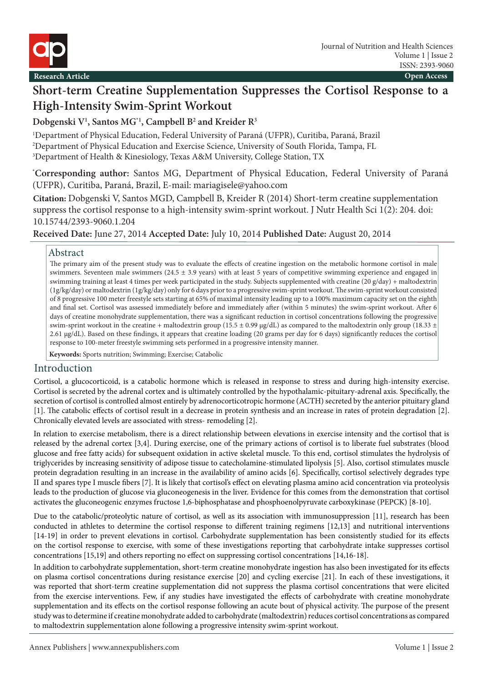

# **Short-term Creatine Supplementation Suppresses the Cortisol Response to a High-Intensity Swim-Sprint Workout**

# **Dobgenski V1 , Santos MG\*1, Campbell B2 and Kreider R3**

1 Department of Physical Education, Federal University of Paraná (UFPR), Curitiba, Paraná, Brazil 2 Department of Physical Education and Exercise Science, University of South Florida, Tampa, FL 3 Department of Health & Kinesiology, Texas A&M University, College Station, TX

**\* Corresponding author:** Santos MG, Department of Physical Education, Federal University of Paraná (UFPR), Curitiba, Paraná, Brazil, E-mail: mariagisele@yahoo.com

**Citation:** Dobgenski V, Santos MGD, Campbell B, Kreider R (2014) Short-term creatine supplementation suppress the cortisol response to a high-intensity swim-sprint workout. J Nutr Health Sci 1(2): 204. doi: 10.15744/2393-9060.1.204

**Received Date:** June 27, 2014 **Accepted Date:** July 10, 2014 **Published Date:** August 20, 2014

#### Abstract

The primary aim of the present study was to evaluate the effects of creatine ingestion on the metabolic hormone cortisol in male swimmers. Seventeen male swimmers (24.5 ± 3.9 years) with at least 5 years of competitive swimming experience and engaged in swimming training at least 4 times per week participated in the study. Subjects supplemented with creatine (20 g/day) + maltodextrin (1g/kg/day) or maltodextrin (1g/kg/day) only for 6 days prior to a progressive swim-sprint workout. The swim-sprint workout consisted of 8 progressive 100 meter freestyle sets starting at 65% of maximal intensity leading up to a 100% maximum capacity set on the eighth and final set. Cortisol was assessed immediately before and immediately after (within 5 minutes) the swim-sprint workout. After 6 days of creatine monohydrate supplementation, there was a significant reduction in cortisol concentrations following the progressive swim-sprint workout in the creatine + maltodextrin group (15.5  $\pm$  0.99 µg/dL) as compared to the maltodextrin only group (18.33  $\pm$ 2.61 μg/dL). Based on these findings, it appears that creatine loading (20 grams per day for 6 days) significantly reduces the cortisol response to 100-meter freestyle swimming sets performed in a progressive intensity manner.

**Keywords:** Sports nutrition; Swimming; Exercise; Catabolic

## Introduction

Cortisol, a glucocorticoid, is a catabolic hormone which is released in response to stress and during high-intensity exercise. Cortisol is secreted by the adrenal cortex and is ultimately controlled by the hypothalamic-pituitary-adrenal axis. Specifically, the secretion of cortisol is controlled almost entirely by adrenocorticotropic hormone (ACTH) secreted by the anterior pituitary gland [1]. The catabolic effects of cortisol result in a decrease in protein synthesis and an increase in rates of protein degradation [2]. Chronically elevated levels are associated with stress- remodeling [2].

In relation to exercise metabolism, there is a direct relationship between elevations in exercise intensity and the cortisol that is released by the adrenal cortex [3,4]. During exercise, one of the primary actions of cortisol is to liberate fuel substrates (blood glucose and free fatty acids) for subsequent oxidation in active skeletal muscle. To this end, cortisol stimulates the hydrolysis of triglycerides by increasing sensitivity of adipose tissue to catecholamine-stimulated lipolysis [5]. Also, cortisol stimulates muscle protein degradation resulting in an increase in the availability of amino acids [6]. Specifically, cortisol selectively degrades type II and spares type I muscle fibers [7]. It is likely that cortisol's effect on elevating plasma amino acid concentration via proteolysis leads to the production of glucose via gluconeogenesis in the liver. Evidence for this comes from the demonstration that cortisol activates the gluconeogenic enzymes fructose 1,6-biphosphatase and phosphoenolpyruvate carboxykinase (PEPCK) [8-10].

Due to the catabolic/proteolytic nature of cortisol, as well as its association with immunosuppression [11], research has been conducted in athletes to determine the cortisol response to different training regimens [12,13] and nutritional interventions [14-19] in order to prevent elevations in cortisol. Carbohydrate supplementation has been consistently studied for its effects on the cortisol response to exercise, with some of these investigations reporting that carbohydrate intake suppresses cortisol concentrations [15,19] and others reporting no effect on suppressing cortisol concentrations [14,16-18].

In addition to carbohydrate supplementation, short-term creatine monohydrate ingestion has also been investigated for its effects on plasma cortisol concentrations during resistance exercise [20] and cycling exercise [21]. In each of these investigations, it was reported that short-term creatine supplementation did not suppress the plasma cortisol concentrations that were elicited from the exercise interventions. Few, if any studies have investigated the effects of carbohydrate with creatine monohydrate supplementation and its effects on the cortisol response following an acute bout of physical activity. The purpose of the present study was to determine if creatine monohydrate added to carbohydrate (maltodextrin) reduces cortisol concentrations as compared to maltodextrin supplementation alone following a progressive intensity swim-sprint workout.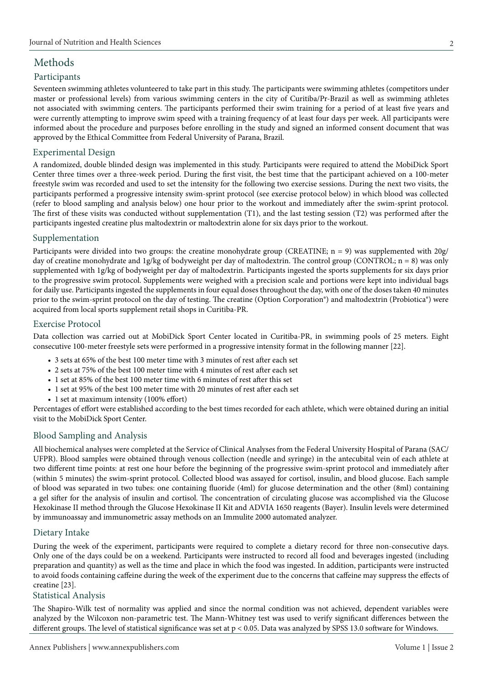# Methods

#### Participants

Seventeen swimming athletes volunteered to take part in this study. The participants were swimming athletes (competitors under master or professional levels) from various swimming centers in the city of Curitiba/Pr-Brazil as well as swimming athletes not associated with swimming centers. The participants performed their swim training for a period of at least five years and were currently attempting to improve swim speed with a training frequency of at least four days per week. All participants were informed about the procedure and purposes before enrolling in the study and signed an informed consent document that was approved by the Ethical Committee from Federal University of Parana, Brazil.

#### Experimental Design

A randomized, double blinded design was implemented in this study. Participants were required to attend the MobiDick Sport Center three times over a three-week period. During the first visit, the best time that the participant achieved on a 100-meter freestyle swim was recorded and used to set the intensity for the following two exercise sessions. During the next two visits, the participants performed a progressive intensity swim-sprint protocol (see exercise protocol below) in which blood was collected (refer to blood sampling and analysis below) one hour prior to the workout and immediately after the swim-sprint protocol. The first of these visits was conducted without supplementation (T1), and the last testing session (T2) was performed after the participants ingested creatine plus maltodextrin or maltodextrin alone for six days prior to the workout.

#### Supplementation

Participants were divided into two groups: the creatine monohydrate group (CREATINE; n = 9) was supplemented with 20g/ day of creatine monohydrate and 1g/kg of bodyweight per day of maltodextrin. The control group (CONTROL; n = 8) was only supplemented with 1g/kg of bodyweight per day of maltodextrin. Participants ingested the sports supplements for six days prior to the progressive swim protocol. Supplements were weighed with a precision scale and portions were kept into individual bags for daily use. Participants ingested the supplements in four equal doses throughout the day, with one of the doses taken 40 minutes prior to the swim-sprint protocol on the day of testing. The creatine (Option Corporation®) and maltodextrin (Probiotica®) were acquired from local sports supplement retail shops in Curitiba-PR.

#### Exercise Protocol

Data collection was carried out at MobiDick Sport Center located in Curitiba-PR, in swimming pools of 25 meters. Eight consecutive 100-meter freestyle sets were performed in a progressive intensity format in the following manner [22].

- 3 sets at 65% of the best 100 meter time with 3 minutes of rest after each set
- 2 sets at 75% of the best 100 meter time with 4 minutes of rest after each set
- 1 set at 85% of the best 100 meter time with 6 minutes of rest after this set
- 1 set at 95% of the best 100 meter time with 20 minutes of rest after each set
- 1 set at maximum intensity (100% effort)

Percentages of effort were established according to the best times recorded for each athlete, which were obtained during an initial visit to the MobiDick Sport Center.

#### Blood Sampling and Analysis

All biochemical analyses were completed at the Service of Clinical Analyses from the Federal University Hospital of Parana (SAC/ UFPR). Blood samples were obtained through venous collection (needle and syringe) in the antecubital vein of each athlete at two different time points: at rest one hour before the beginning of the progressive swim-sprint protocol and immediately after (within 5 minutes) the swim-sprint protocol. Collected blood was assayed for cortisol, insulin, and blood glucose. Each sample of blood was separated in two tubes: one containing fluoride (4ml) for glucose determination and the other (8ml) containing a gel sifter for the analysis of insulin and cortisol. The concentration of circulating glucose was accomplished via the Glucose Hexokinase II method through the Glucose Hexokinase II Kit and ADVIA 1650 reagents (Bayer). Insulin levels were determined by immunoassay and immunometric assay methods on an Immulite 2000 automated analyzer.

#### Dietary Intake

During the week of the experiment, participants were required to complete a dietary record for three non-consecutive days. Only one of the days could be on a weekend. Participants were instructed to record all food and beverages ingested (including preparation and quantity) as well as the time and place in which the food was ingested. In addition, participants were instructed to avoid foods containing caffeine during the week of the experiment due to the concerns that caffeine may suppress the effects of creatine [23].

#### Statistical Analysis

The Shapiro-Wilk test of normality was applied and since the normal condition was not achieved, dependent variables were analyzed by the Wilcoxon non-parametric test. The Mann-Whitney test was used to verify significant differences between the different groups. The level of statistical significance was set at p < 0.05. Data was analyzed by SPSS 13.0 software for Windows.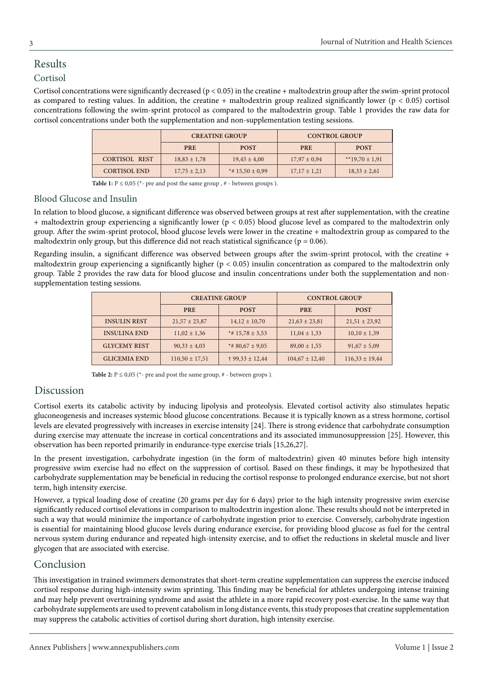# Results

## Cortisol

Cortisol concentrations were significantly decreased (p < 0.05) in the creatine + maltodextrin group after the swim-sprint protocol as compared to resting values. In addition, the creatine + maltodextrin group realized significantly lower ( $p < 0.05$ ) cortisol concentrations following the swim-sprint protocol as compared to the maltodextrin group. Table 1 provides the raw data for cortisol concentrations under both the supplementation and non-supplementation testing sessions.

|                      | <b>CREATINE GROUP</b> |                     | <b>CONTROL GROUP</b> |                  |
|----------------------|-----------------------|---------------------|----------------------|------------------|
|                      | <b>PRE</b>            | <b>POST</b>         | <b>PRE</b>           | <b>POST</b>      |
| <b>CORTISOL REST</b> | $18,83 \pm 1,78$      | $19,45 \pm 4,00$    | $17,97 \pm 0.94$     | **19,70 ± 1,91   |
| <b>CORTISOL END</b>  | $17,75 \pm 2,13$      | *# $15,50 \pm 0,99$ | $17,17 \pm 1,21$     | $18,33 \pm 2,61$ |

**Table 1:**  $P \le 0.05$  ( $*$ - pre and post the same group,  $#$  - between groups).

#### Blood Glucose and Insulin

In relation to blood glucose, a significant difference was observed between groups at rest after supplementation, with the creatine + maltodextrin group experiencing a significantly lower (p < 0.05) blood glucose level as compared to the maltodextrin only group. After the swim-sprint protocol, blood glucose levels were lower in the creatine + maltodextrin group as compared to the maltodextrin only group, but this difference did not reach statistical significance ( $p = 0.06$ ).

Regarding insulin, a significant difference was observed between groups after the swim-sprint protocol, with the creatine + maltodextrin group experiencing a significantly higher ( $p < 0.05$ ) insulin concentration as compared to the maltodextrin only group. Table 2 provides the raw data for blood glucose and insulin concentrations under both the supplementation and nonsupplementation testing sessions.

|                     | <b>CREATINE GROUP</b> |                          | <b>CONTROL GROUP</b> |                    |
|---------------------|-----------------------|--------------------------|----------------------|--------------------|
|                     | <b>PRE</b>            | <b>POST</b>              | <b>PRE</b>           | <b>POST</b>        |
| <b>INSULIN REST</b> | $21,57 \pm 23,87$     | $14,12 \pm 10,70$        | $21,63 \pm 23,81$    | $21,51 \pm 23,92$  |
| <b>INSULINA END</b> | $11,02 \pm 1,36$      | *# $15,78 \pm 3,53$      | $11,04 \pm 1,33$     | $10,10 \pm 1,39$   |
| <b>GLYCEMY REST</b> | $90,33 \pm 4,03$      | *# $80,67 \pm 9,05$      | $89,00 \pm 1,55$     | $91,67 \pm 5,09$   |
| <b>GLICEMIA END</b> | $110,50 \pm 17,51$    | $\uparrow$ 99,33 ± 12,44 | $104,67 \pm 12,40$   | $116,33 \pm 19,44$ |

Table 2:  $P \le 0.05$  ( $*$ - pre and post the same group,  $#$  - between grops).

## Discussion

Cortisol exerts its catabolic activity by inducing lipolysis and proteolysis. Elevated cortisol activity also stimulates hepatic gluconeogenesis and increases systemic blood glucose concentrations. Because it is typically known as a stress hormone, cortisol levels are elevated progressively with increases in exercise intensity [24]. There is strong evidence that carbohydrate consumption during exercise may attenuate the increase in cortical concentrations and its associated immunosuppression [25]. However, this observation has been reported primarily in endurance-type exercise trials [15,26,27].

In the present investigation, carbohydrate ingestion (in the form of maltodextrin) given 40 minutes before high intensity progressive swim exercise had no effect on the suppression of cortisol. Based on these findings, it may be hypothesized that carbohydrate supplementation may be beneficial in reducing the cortisol response to prolonged endurance exercise, but not short term, high intensity exercise.

However, a typical loading dose of creatine (20 grams per day for 6 days) prior to the high intensity progressive swim exercise significantly reduced cortisol elevations in comparison to maltodextrin ingestion alone. These results should not be interpreted in such a way that would minimize the importance of carbohydrate ingestion prior to exercise. Conversely, carbohydrate ingestion is essential for maintaining blood glucose levels during endurance exercise, for providing blood glucose as fuel for the central nervous system during endurance and repeated high-intensity exercise, and to offset the reductions in skeletal muscle and liver glycogen that are associated with exercise.

## Conclusion

This investigation in trained swimmers demonstrates that short-term creatine supplementation can suppress the exercise induced cortisol response during high-intensity swim sprinting. This finding may be beneficial for athletes undergoing intense training and may help prevent overtraining syndrome and assist the athlete in a more rapid recovery post-exercise. In the same way that carbohydrate supplements are used to prevent catabolism in long distance events, this study proposes that creatine supplementation may suppress the catabolic activities of cortisol during short duration, high intensity exercise.